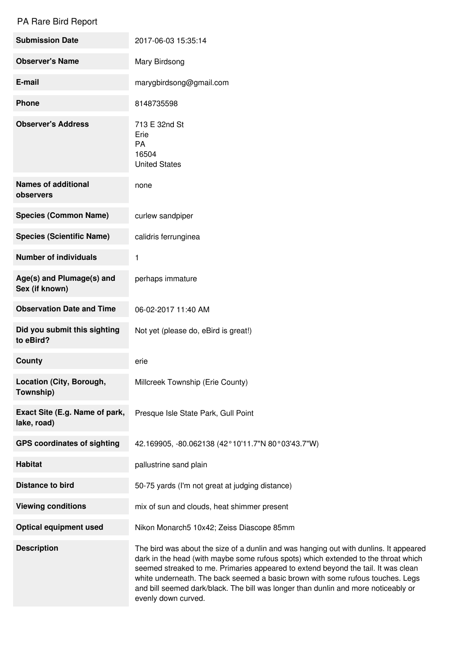## PA Rare Bird Report

| <b>Submission Date</b>                        | 2017-06-03 15:35:14                                                                                                                                                                                                                                                                                                                                                                                                                                             |
|-----------------------------------------------|-----------------------------------------------------------------------------------------------------------------------------------------------------------------------------------------------------------------------------------------------------------------------------------------------------------------------------------------------------------------------------------------------------------------------------------------------------------------|
| <b>Observer's Name</b>                        | Mary Birdsong                                                                                                                                                                                                                                                                                                                                                                                                                                                   |
| E-mail                                        | marygbirdsong@gmail.com                                                                                                                                                                                                                                                                                                                                                                                                                                         |
| Phone                                         | 8148735598                                                                                                                                                                                                                                                                                                                                                                                                                                                      |
| <b>Observer's Address</b>                     | 713 E 32nd St<br>Erie<br>PA<br>16504<br><b>United States</b>                                                                                                                                                                                                                                                                                                                                                                                                    |
| <b>Names of additional</b><br>observers       | none                                                                                                                                                                                                                                                                                                                                                                                                                                                            |
| <b>Species (Common Name)</b>                  | curlew sandpiper                                                                                                                                                                                                                                                                                                                                                                                                                                                |
| <b>Species (Scientific Name)</b>              | calidris ferrunginea                                                                                                                                                                                                                                                                                                                                                                                                                                            |
| <b>Number of individuals</b>                  | 1                                                                                                                                                                                                                                                                                                                                                                                                                                                               |
| Age(s) and Plumage(s) and<br>Sex (if known)   | perhaps immature                                                                                                                                                                                                                                                                                                                                                                                                                                                |
| <b>Observation Date and Time</b>              | 06-02-2017 11:40 AM                                                                                                                                                                                                                                                                                                                                                                                                                                             |
| Did you submit this sighting<br>to eBird?     | Not yet (please do, eBird is great!)                                                                                                                                                                                                                                                                                                                                                                                                                            |
| County                                        | erie                                                                                                                                                                                                                                                                                                                                                                                                                                                            |
| Location (City, Borough,<br>Township)         | Millcreek Township (Erie County)                                                                                                                                                                                                                                                                                                                                                                                                                                |
| Exact Site (E.g. Name of park,<br>lake, road) | Presque Isle State Park, Gull Point                                                                                                                                                                                                                                                                                                                                                                                                                             |
| <b>GPS coordinates of sighting</b>            | 42.169905, -80.062138 (42°10'11.7"N 80°03'43.7"W)                                                                                                                                                                                                                                                                                                                                                                                                               |
| <b>Habitat</b>                                | pallustrine sand plain                                                                                                                                                                                                                                                                                                                                                                                                                                          |
| <b>Distance to bird</b>                       | 50-75 yards (I'm not great at judging distance)                                                                                                                                                                                                                                                                                                                                                                                                                 |
| <b>Viewing conditions</b>                     | mix of sun and clouds, heat shimmer present                                                                                                                                                                                                                                                                                                                                                                                                                     |
| <b>Optical equipment used</b>                 | Nikon Monarch5 10x42; Zeiss Diascope 85mm                                                                                                                                                                                                                                                                                                                                                                                                                       |
| <b>Description</b>                            | The bird was about the size of a dunlin and was hanging out with dunlins. It appeared<br>dark in the head (with maybe some rufous spots) which extended to the throat which<br>seemed streaked to me. Primaries appeared to extend beyond the tail. It was clean<br>white underneath. The back seemed a basic brown with some rufous touches. Legs<br>and bill seemed dark/black. The bill was longer than dunlin and more noticeably or<br>evenly down curved. |